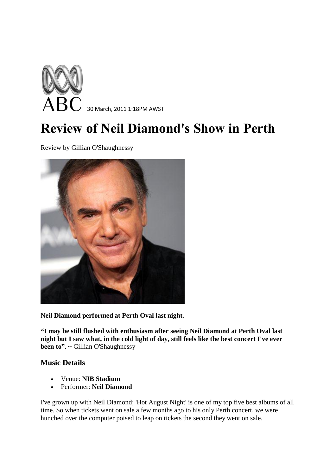

## **Review of Neil Diamond's Show in Perth**

Review by Gillian O'Shaughnessy



**Neil Diamond performed at Perth Oval last night.** 

**"I may be still flushed with enthusiasm after seeing Neil Diamond at Perth Oval last night but I saw what, in the cold light of day, still feels like the best concert I've ever been to". ~** Gillian O'Shaughnessy

## **Music Details**

- Venue: **NIB Stadium**
- Performer: **Neil Diamond**

I've grown up with Neil Diamond; 'Hot August Night' is one of my top five best albums of all time. So when tickets went on sale a few months ago to his only Perth concert, we were hunched over the computer poised to leap on tickets the second they went on sale.